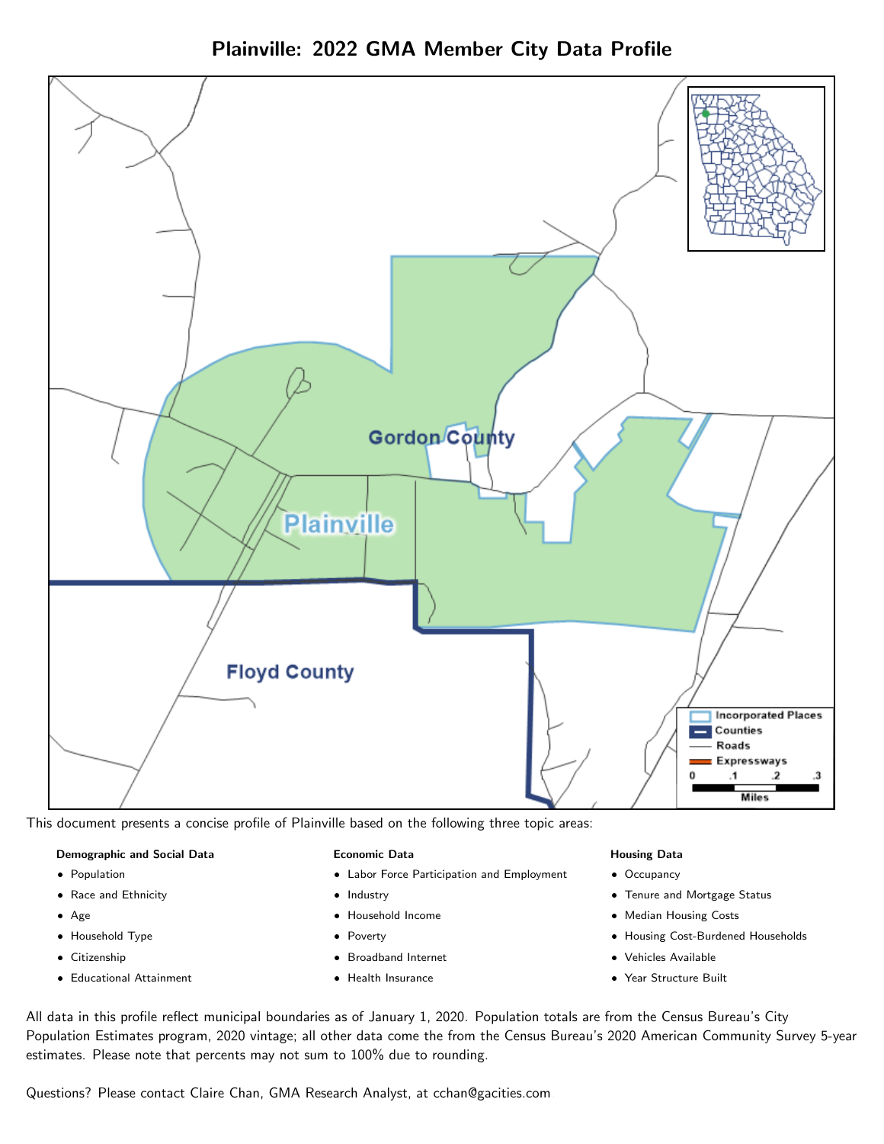



This document presents a concise profile of Plainville based on the following three topic areas:

#### Demographic and Social Data

- **•** Population
- Race and Ethnicity
- Age
- Household Type
- **Citizenship**
- Educational Attainment

### Economic Data

- Labor Force Participation and Employment
- Industry
- Household Income
- Poverty
- Broadband Internet
- Health Insurance

#### Housing Data

- Occupancy
- Tenure and Mortgage Status
- Median Housing Costs
- Housing Cost-Burdened Households
- Vehicles Available
- Year Structure Built

All data in this profile reflect municipal boundaries as of January 1, 2020. Population totals are from the Census Bureau's City Population Estimates program, 2020 vintage; all other data come the from the Census Bureau's 2020 American Community Survey 5-year estimates. Please note that percents may not sum to 100% due to rounding.

Questions? Please contact Claire Chan, GMA Research Analyst, at [cchan@gacities.com.](mailto:cchan@gacities.com)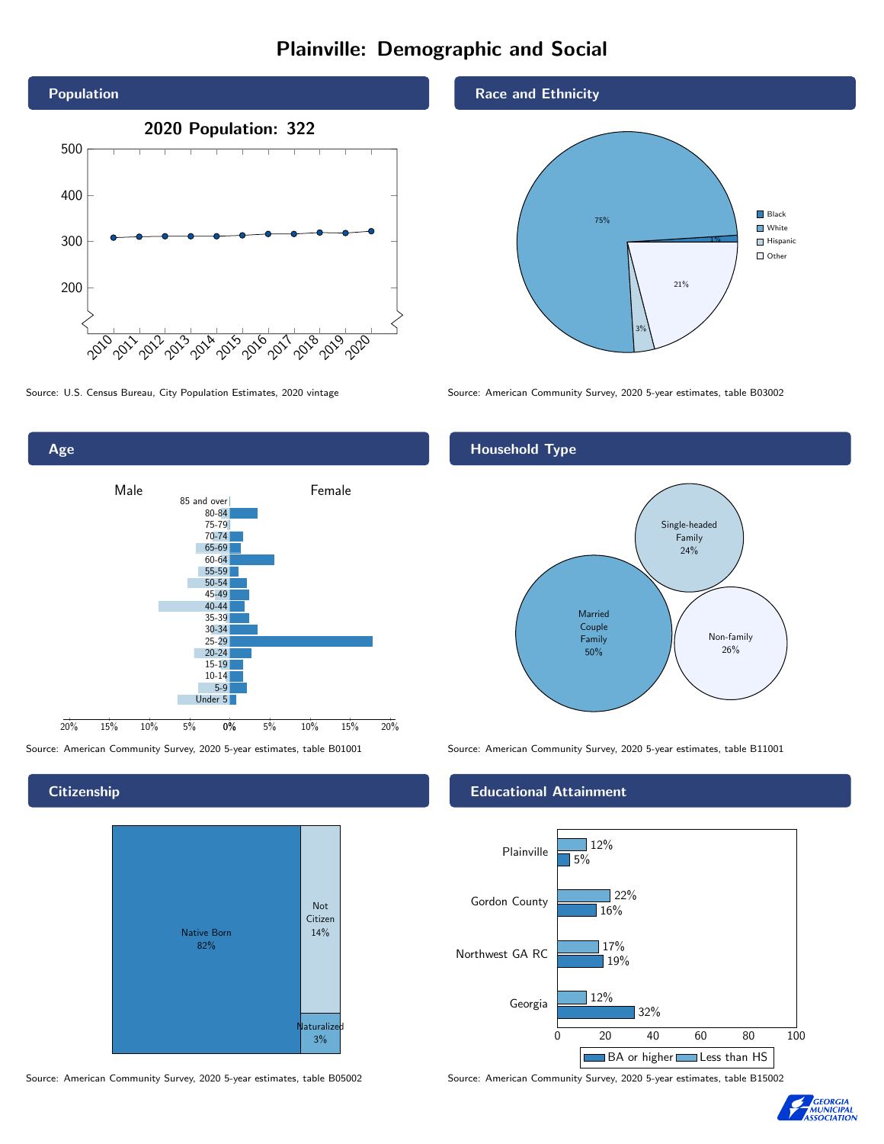# Plainville: Demographic and Social





**Citizenship** 



Source: American Community Survey, 2020 5-year estimates, table B05002 Source: American Community Survey, 2020 5-year estimates, table B15002

### Race and Ethnicity



Source: U.S. Census Bureau, City Population Estimates, 2020 vintage Source: American Community Survey, 2020 5-year estimates, table B03002

## Household Type



Source: American Community Survey, 2020 5-year estimates, table B01001 Source: American Community Survey, 2020 5-year estimates, table B11001

### Educational Attainment



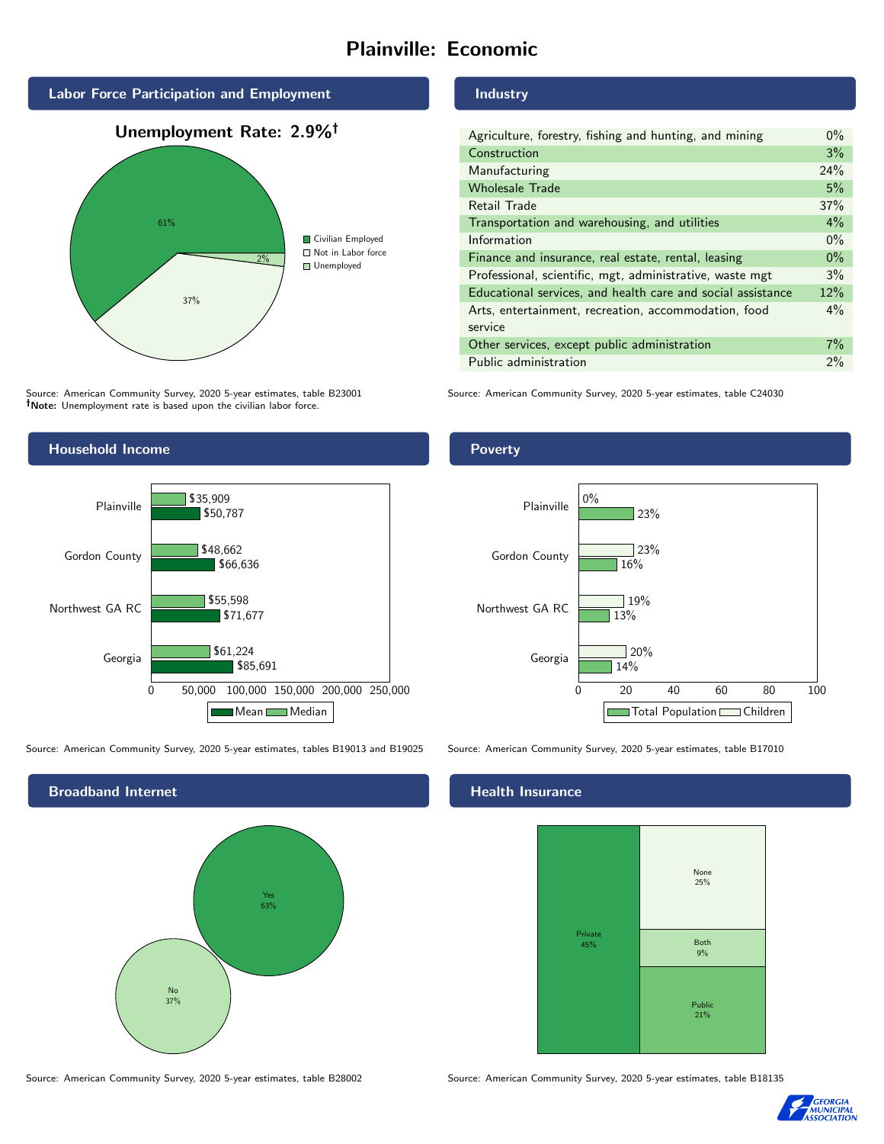# Plainville: Economic



Source: American Community Survey, 2020 5-year estimates, table B23001 Note: Unemployment rate is based upon the civilian labor force.



Source: American Community Survey, 2020 5-year estimates, tables B19013 and B19025 Source: American Community Survey, 2020 5-year estimates, table B17010

Broadband Internet No 37% Yes 63%

Industry

| Agriculture, forestry, fishing and hunting, and mining      | $0\%$ |
|-------------------------------------------------------------|-------|
| Construction                                                | 3%    |
| Manufacturing                                               | 24%   |
| <b>Wholesale Trade</b>                                      | 5%    |
| Retail Trade                                                | 37%   |
| Transportation and warehousing, and utilities               | $4\%$ |
| Information                                                 | $0\%$ |
| Finance and insurance, real estate, rental, leasing         | $0\%$ |
| Professional, scientific, mgt, administrative, waste mgt    | 3%    |
| Educational services, and health care and social assistance | 12%   |
| Arts, entertainment, recreation, accommodation, food        | $4\%$ |
| service                                                     |       |
| Other services, except public administration                | $7\%$ |
| Public administration                                       | 2%    |

Source: American Community Survey, 2020 5-year estimates, table C24030

Poverty



### Health Insurance



Source: American Community Survey, 2020 5-year estimates, table B28002 Source: American Community Survey, 2020 5-year estimates, table B18135